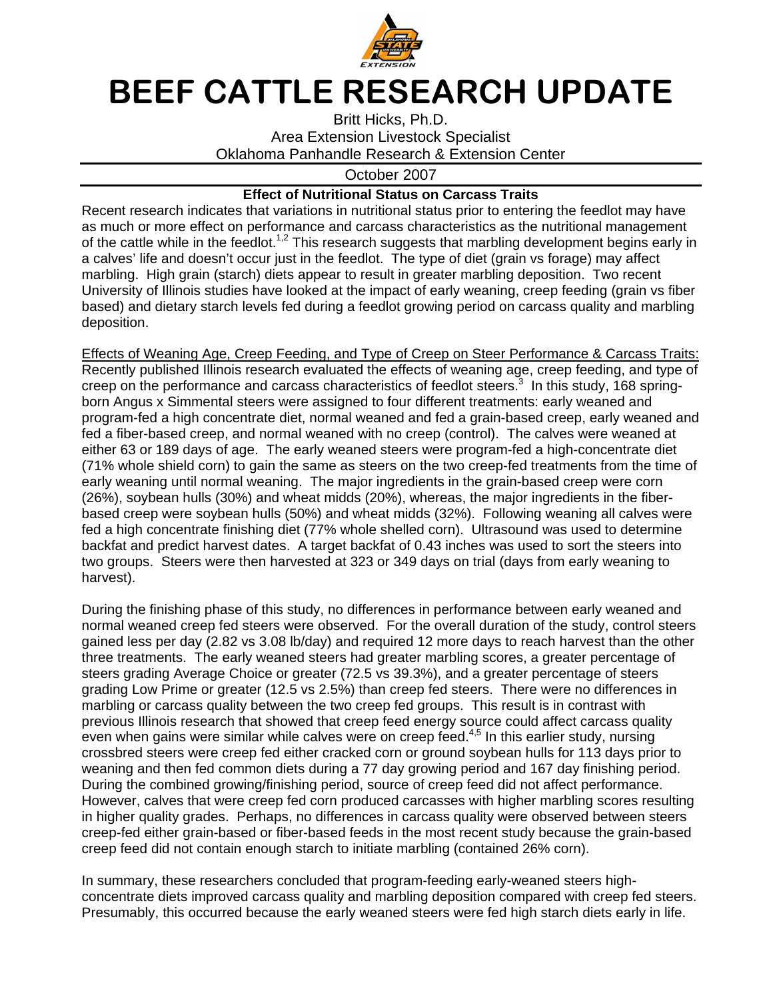

## BEEF CATTLE RESEARCH UPDATE

Britt Hicks, Ph.D. Area Extension Livestock Specialist Oklahoma Panhandle Research & Extension Center

October 2007

## **Effect of Nutritional Status on Carcass Traits**

Recent research indicates that variations in nutritional status prior to entering the feedlot may have as much or more effect on performance and carcass characteristics as the nutritional management of the cattle while in the feedlot.<sup>1,2</sup> This research suggests that marbling development begins early in a calves' life and doesn't occur just in the feedlot. The type of diet (grain vs forage) may affect marbling. High grain (starch) diets appear to result in greater marbling deposition. Two recent University of Illinois studies have looked at the impact of early weaning, creep feeding (grain vs fiber based) and dietary starch levels fed during a feedlot growing period on carcass quality and marbling deposition.

Effects of Weaning Age, Creep Feeding, and Type of Creep on Steer Performance & Carcass Traits: Recently published Illinois research evaluated the effects of weaning age, creep feeding, and type of creep on the performance and carcass characteristics of feedlot steers.<sup>3</sup> In this study, 168 springborn Angus x Simmental steers were assigned to four different treatments: early weaned and program-fed a high concentrate diet, normal weaned and fed a grain-based creep, early weaned and fed a fiber-based creep, and normal weaned with no creep (control). The calves were weaned at either 63 or 189 days of age. The early weaned steers were program-fed a high-concentrate diet (71% whole shield corn) to gain the same as steers on the two creep-fed treatments from the time of early weaning until normal weaning. The major ingredients in the grain-based creep were corn (26%), soybean hulls (30%) and wheat midds (20%), whereas, the major ingredients in the fiberbased creep were soybean hulls (50%) and wheat midds (32%). Following weaning all calves were fed a high concentrate finishing diet (77% whole shelled corn). Ultrasound was used to determine backfat and predict harvest dates. A target backfat of 0.43 inches was used to sort the steers into two groups. Steers were then harvested at 323 or 349 days on trial (days from early weaning to harvest).

During the finishing phase of this study, no differences in performance between early weaned and normal weaned creep fed steers were observed. For the overall duration of the study, control steers gained less per day (2.82 vs 3.08 lb/day) and required 12 more days to reach harvest than the other three treatments. The early weaned steers had greater marbling scores, a greater percentage of steers grading Average Choice or greater (72.5 vs 39.3%), and a greater percentage of steers grading Low Prime or greater (12.5 vs 2.5%) than creep fed steers. There were no differences in marbling or carcass quality between the two creep fed groups. This result is in contrast with previous Illinois research that showed that creep feed energy source could affect carcass quality even when gains were similar while calves were on creep feed.<sup>4,5</sup> In this earlier study, nursing crossbred steers were creep fed either cracked corn or ground soybean hulls for 113 days prior to weaning and then fed common diets during a 77 day growing period and 167 day finishing period. During the combined growing/finishing period, source of creep feed did not affect performance. However, calves that were creep fed corn produced carcasses with higher marbling scores resulting in higher quality grades. Perhaps, no differences in carcass quality were observed between steers creep-fed either grain-based or fiber-based feeds in the most recent study because the grain-based creep feed did not contain enough starch to initiate marbling (contained 26% corn).

In summary, these researchers concluded that program-feeding early-weaned steers highconcentrate diets improved carcass quality and marbling deposition compared with creep fed steers. Presumably, this occurred because the early weaned steers were fed high starch diets early in life.